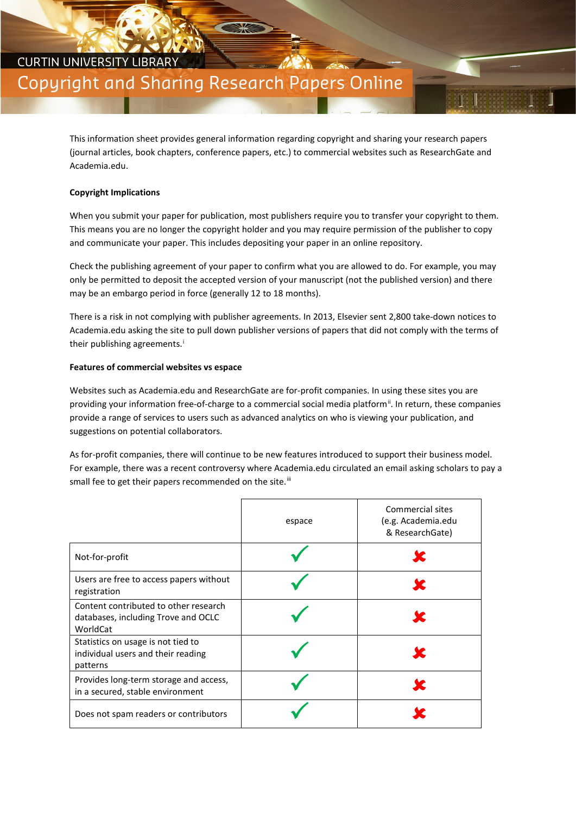## CURTIN UNIVERSITY LIBRARY Copyright and Sharing Research Papers Online

This information sheet provides general information regarding copyright and sharing your research papers (journal articles, book chapters, conference papers, etc.) to commercial websites such as ResearchGate and Academia.edu.

## **Copyright Implications**

When you submit your paper for publication, most publishers require you to transfer your copyright to them. This means you are no longer the copyright holder and you may require permission of the publisher to copy and communicate your paper. This includes depositing your paper in an online repository.

Check the publishing agreement of your paper to confirm what you are allowed to do. For example, you may only be permitted to deposit the accepted version of your manuscript (not the published version) and there may be an embargo period in force (generally 12 to 18 months).

There is a risk in not complying with publisher agreements. In 2013, Elsevier sent 2,800 take-down notices to Academia.edu asking the site to pull down publisher versions of papers that did not comply with the terms of the[i](#page-1-0)r publishing agreements.<sup>i</sup>

## **Features of commercial websites vs espace**

Websites such as Academia.edu and ResearchGate are for-profit companies. In using these sites you are providing your information free-of-charge to a commercial social media platform<sup>[ii](#page-1-1)</sup>. In return, these companies provide a range of services to users such as advanced analytics on who is viewing your publication, and suggestions on potential collaborators.

As for-profit companies, there will continue to be new features introduced to support their business model. For example, there was a recent controversy where Academia.edu circulated an email asking scholars to pay a small fee to get their papers recommended on the site.<sup>[iii](#page-1-2)</sup>

|                                                                                          | espace | Commercial sites<br>(e.g. Academia.edu<br>& ResearchGate) |
|------------------------------------------------------------------------------------------|--------|-----------------------------------------------------------|
| Not-for-profit                                                                           |        |                                                           |
| Users are free to access papers without<br>registration                                  |        |                                                           |
| Content contributed to other research<br>databases, including Trove and OCLC<br>WorldCat |        |                                                           |
| Statistics on usage is not tied to<br>individual users and their reading<br>patterns     |        |                                                           |
| Provides long-term storage and access,<br>in a secured, stable environment               |        |                                                           |
| Does not spam readers or contributors                                                    |        |                                                           |